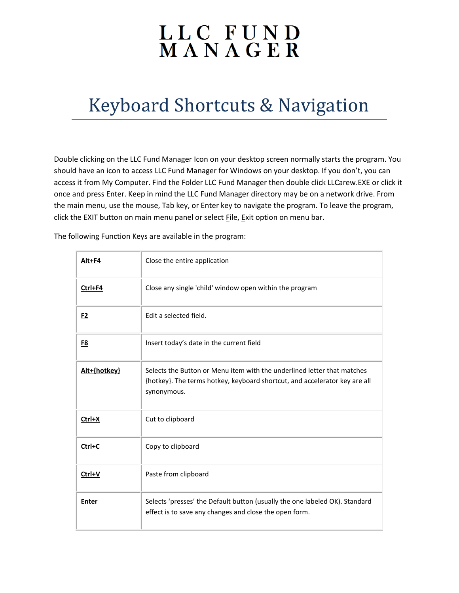## LLC FUND<br>MANAGER

## Keyboard Shortcuts & Navigation

Double clicking on the LLC Fund Manager Icon on your desktop screen normally starts the program. You should have an icon to access LLC Fund Manager for Windows on your desktop. If you don't, you can access it from My Computer. Find the Folder LLC Fund Manager then double click LLCarew.EXE or click it once and press Enter. Keep in mind the LLC Fund Manager directory may be on a network drive. From the main menu, use the mouse, Tab key, or Enter key to navigate the program. To leave the program, click the EXIT button on main menu panel or select File, Exit option on menu bar.

The following Function Keys are available in the program:

| Alt+F4         | Close the entire application                                                                                                                                         |
|----------------|----------------------------------------------------------------------------------------------------------------------------------------------------------------------|
| Ctrl+F4        | Close any single 'child' window open within the program                                                                                                              |
| F <sub>2</sub> | Edit a selected field.                                                                                                                                               |
| <u>F8</u>      | Insert today's date in the current field                                                                                                                             |
| Alt+{hotkey}   | Selects the Button or Menu item with the underlined letter that matches<br>{hotkey}. The terms hotkey, keyboard shortcut, and accelerator key are all<br>synonymous. |
| Ctrl+X         | Cut to clipboard                                                                                                                                                     |
| Ctrl+C         | Copy to clipboard                                                                                                                                                    |
| Ctrl+V         | Paste from clipboard                                                                                                                                                 |
| <b>Enter</b>   | Selects 'presses' the Default button (usually the one labeled OK). Standard<br>effect is to save any changes and close the open form.                                |